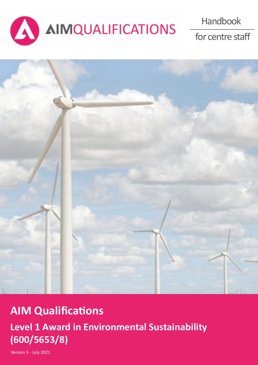

for centre staff



# **AIM Qualifications**

**Level 1 Award in Environmental Sustainability (600/5653/8)**

Version 5 - July 2021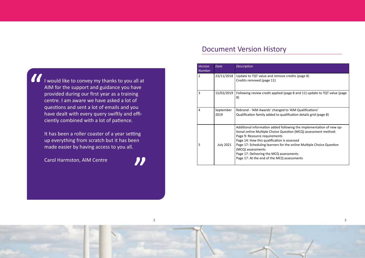# Document Version History

| <b>Version</b><br><b>Number</b> | <b>Date</b>       | <b>Description</b>                                                                                                                                                                                                                                                                                                                                                                                            |
|---------------------------------|-------------------|---------------------------------------------------------------------------------------------------------------------------------------------------------------------------------------------------------------------------------------------------------------------------------------------------------------------------------------------------------------------------------------------------------------|
| $\overline{2}$                  | 23/11/2018        | Update to TQT value and remove credits (page 8)<br>Credits removed (page 11)                                                                                                                                                                                                                                                                                                                                  |
| 3                               | 15/02/2019        | Following review credit applied (page 8 and 11) update to TQT value (page<br>8)                                                                                                                                                                                                                                                                                                                               |
| 4                               | September<br>2019 | Rebrand - 'AIM Awards' changed to 'AIM Qualifications'<br>Qualification family added to qualification details grid (page 8)                                                                                                                                                                                                                                                                                   |
| 5                               | <b>July 2021</b>  | Additional information added following the implementation of new op-<br>tional online Multiple Choice Question (MCQ) assessment method:<br>Page 9: Resource requirements<br>Page 14: How this qualification is assessed<br>Page 17: Scheduling learners for the online Multiple Choice Question<br>(MCQ) assessments<br>Page 17: Delivering the MCQ assessments<br>Page 17: At the end of the MCQ assessments |

 $2<sup>3</sup>$ 





I would like to convey my thanks to you all at AIM for the support and guidance you have provided during our first year as a training centre. I am aware we have asked a lot of questions and sent a lot of emails and you have dealt with every query swiftly and efficiently combined with a lot of patience. "

It has been a roller coaster of a year setting up everything from scratch but it has been made easier by having access to you all.

Carol Harmston, AIM Centre

"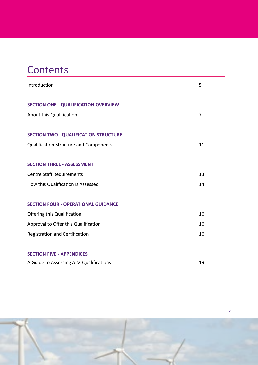# <span id="page-2-0"></span>**Contents**

| 5  |
|----|
|    |
|    |
| 7  |
|    |
|    |
| 11 |
|    |
|    |
| 13 |
| 14 |
|    |
|    |
| 16 |
| 16 |
| 16 |
|    |
|    |
| 19 |
|    |



4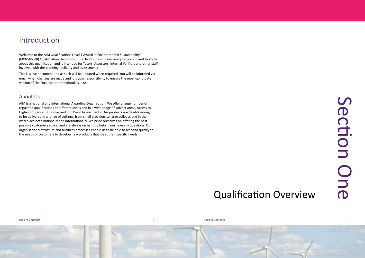# Qualification Overview

# Section One Jechon D<br>D<br>D<br>D<br>D<br>D

[Back to Contents](#page-2-0) **Back to Contents** Back to Contents

6

Welcome to the AIM Qualifications Level 1 Award in Environmental Sustainability (600/5653/8) Qualification Handbook. This Handbook contains everything you need to know about this qualification and is intended for Tutors, Assessors, Internal Verifiers and other staff involved with the planning, delivery and assessment:

This is a live document and as such will be updated when required. You will be informed via email when changes are made and it is your responsibility to ensure the most up-to-date version of the Qualification Handbook is in use.

### About Us

AIM is a national and international Awarding Organisation. We offer a large number of regulated qualifications at different levels and in a wide range of subject areas, Access to Higher Education Diplomas and End Point Assessments. Our products are flexible enough to be delivered in a range of settings, from small providers to large colleges and in the workplace both nationally and internationally. We pride ourselves on offering the best possible customer service, and are always on hand to help if you have any questions. Our organisational structure and business processes enable us to be able to respond quickly to the needs of customers to develop new products that meet their specific needs.

## <span id="page-3-0"></span>Introduction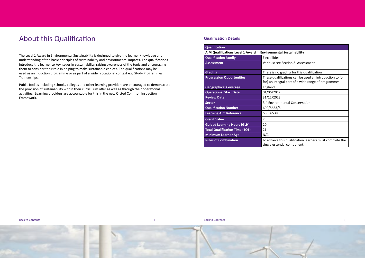### **Qualification Details**

### **Qualification AIM Qualifications Level 1 Award in Environme Qualification Family** Flexibilities **Assessment** Various: Section 3: Assessment **Grading Grading There is** no grading for this qualification of  $\mathbf{F}$   $\mathbf{F}$ **Progression Opportunities** These qualifications can be used an intervals can be used an intervals can be used an intervals can be used an intervals can be used an intervals can be used an intervals can be used an interval for) an in **Geographical Coverage England Operational Start Date 01/06/2012 Review Date 31/12/20 Sector** 3.4 Environmental Conservation 2.4 Enviro **Qualification Number** 600/5653 **Learning Aim Reference** 60056538 **Credit Value 2 2 Guided Learning Hours (GLH)** 20 **Total Qualification Time (TQT)** 21 **Minimum Learner Age** N/A **Rules of Combination To achieve the Sulfident Complete the To achieve the To achieve the To achieve the To achieve**

| nvironmental Sustainability                                                                                    |
|----------------------------------------------------------------------------------------------------------------|
| Flexibilities                                                                                                  |
| Various: see Section 3: Assessment                                                                             |
| There is no grading for this qualification                                                                     |
| These qualifications can be used an introduction to (or<br>for) an integral part of a wide range of programmes |
| England                                                                                                        |
| 01/06/2012                                                                                                     |
| 31/12/2023                                                                                                     |
| 3.4 Environmental Conservation                                                                                 |
| 600/5653/8                                                                                                     |
| 60056538                                                                                                       |
| $\overline{2}$                                                                                                 |
| 20                                                                                                             |
| 21                                                                                                             |
| N/A                                                                                                            |
| To achieve this qualification learners must complete the<br>single essential component.                        |

# <span id="page-4-0"></span>About this Qualification

The Level 1 Award in Environmental Sustainability is designed to give the learner knowledge and understanding of the basic principles of sustainability and environmental impacts. The qualifications introduce the learner to key issues in sustainability, raising awareness of the topic and encouraging them to consider their role in helping to make sustainable choices. The qualifications may be used as an induction programme or as part of a wider vocational context e.g. Study Programmes, Traineeships.

Public bodies including schools, colleges and other learning providers are encouraged to demonstrate the provision of sustainability within their curriculum offer as well as through their operational activities. Learning providers are accountable for this in the new Ofsted Common Inspection Framework.

[Back to Contents](#page-2-0) 7 [Back to Contents](#page-2-0) 8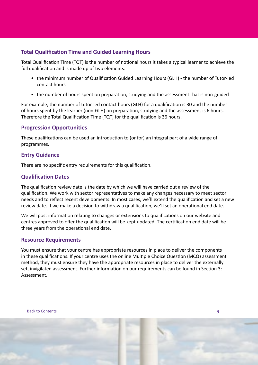### **Total Qualification Time and Guided Learning Hours**

Total Qualification Time (TQT) is the number of notional hours it takes a typical learner to achieve the full qualification and is made up of two elements:

- the minimum number of Qualification Guided Learning Hours (GLH) the number of Tutor-led contact hours
- the number of hours spent on preparation, studying and the assessment that is non-guided

For example, the number of tutor-led contact hours (GLH) for a qualification is 30 and the number of hours spent by the learner (non-GLH) on preparation, studying and the assessment is 6 hours. Therefore the Total Qualification Time (TQT) for the qualification is 36 hours.

### **Progression Opportunities**

These qualifications can be used an introduction to (or for) an integral part of a wide range of programmes.

### **Entry Guidance**

There are no specific entry requirements for this qualification.

### **Qualification Dates**

The qualification review date is the date by which we will have carried out a review of the qualification. We work with sector representatives to make any changes necessary to meet sector needs and to reflect recent developments. In most cases, we'll extend the qualification and set a new review date. If we make a decision to withdraw a qualification, we'll set an operational end date.

We will post information relating to changes or extensions to qualifications on our website and centres approved to offer the qualification will be kept updated. The certification end date will be three years from the operational end date.

### **Resource Requirements**

You must ensure that your centre has appropriate resources in place to deliver the components in these qualifications. If your centre uses the online Multiple Choice Question (MCQ) assessment method, they must ensure they have the appropriate resources in place to deliver the externally set, invigilated assessment. Further information on our requirements can be found in Section 3: Assessment.

[Back to Contents](#page-2-0)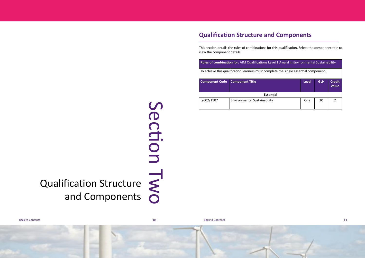Qualification Structure and Components

[Back to Contents](#page-2-0) and the contents of the contents of the contents of the contents of the contents of the contents of the contents of the contents of the contents of the contents of the contents of the contents of the conte



## <span id="page-6-0"></span>**Qualification Structure and Components**

| <b>Rules of combination for:</b> AIM Qualifications Level 1 Award in Environmental Sustainability |                                     |              |            |                               |  |  |  |  |  |
|---------------------------------------------------------------------------------------------------|-------------------------------------|--------------|------------|-------------------------------|--|--|--|--|--|
| To achieve this qualification learners must complete the single essential component.              |                                     |              |            |                               |  |  |  |  |  |
| <b>Component Code</b>                                                                             | <b>Component Title</b>              | <b>Level</b> | <b>GLH</b> | <b>Credit</b><br><b>Value</b> |  |  |  |  |  |
| Essential                                                                                         |                                     |              |            |                               |  |  |  |  |  |
| L/602/1107                                                                                        | <b>Environmental Sustainability</b> | One          | 20         |                               |  |  |  |  |  |

# Section Section Two

This section details the rules of combinations for this qualification. Select the component title to view the component details.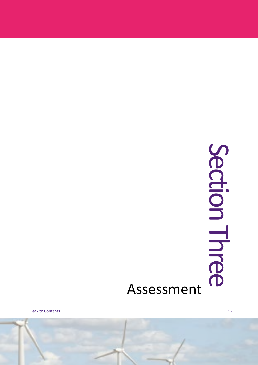# Section Three Section Three

# Assessment

[Back to Contents](#page-2-0)

12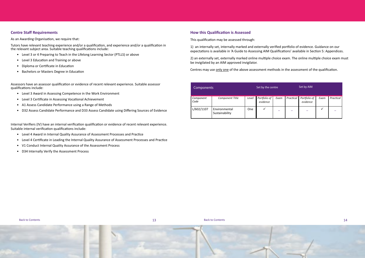### <span id="page-8-0"></span>**Centre Staff Requirements**

As an Awarding Organisation, we require that:

Tutors have relevant teaching experience and/or a qualification, and experience and/or a qualification in the relevant subject area. Suitable teaching qualifications include:

- Level 3 or 4 Preparing to Teach in the Lifelong Learning Sector (PTLLS) or above
- Level 3 Education and Training or above
- Diploma or Certificate in Education
- Bachelors or Masters Degree in Education

Assessors have an assessor qualification or evidence of recent relevant experience. Suitable assessor qualifications include:

- Level 3 Award in Assessing Competence in the Work Environment
- Level 3 Certificate in Assessing Vocational Achievement
- A1 Assess Candidate Performance using a Range of Methods
- D32 Assess Candidate Performance and D33 Assess Candidate using Differing Sources of Evidence

Internal Verifiers (IV) have an internal verification qualification or evidence of recent relevant experience. Suitable internal verification qualifications include:

- Level 4 Award in Internal Quality Assurance of Assessment Processes and Practice
- Level 4 Certificate in Leading the Internal Quality Assurance of Assessment Processes and Practice
- V1 Conduct Internal Quality Assurance of the Assessment Process
- D34 Internally Verify the Assessment Process



### <span id="page-8-1"></span>**How this Qualification is Assessed**

This qualification may be assessed through:

1) an internally set, internally marked and externally verified portfolio of evidence. Guidance on our expectations is available in 'A Guide to Assessing AIM Qualifications' available in Section 5: Appendices.

2) an externally set, externally marked online multiple choice exam. The online multiple choice exam must be invigilated by an AIM approved invigilator.

Centres may use only one of the above assessment methods in the assessment of the qualification.

| Components        |                                 |       | Set by the centre        |      |           | Set by AIM               |      |           |
|-------------------|---------------------------------|-------|--------------------------|------|-----------|--------------------------|------|-----------|
| Component<br>Code | Component Title                 | Level | Portfolio of<br>evidence | Exam | Practical | Portfolio of<br>evidence | Exam | Practical |
| L/602/1107        | Environmental<br>Sustainability | One   | ✓                        |      |           |                          | √    |           |

[Back to Contents](#page-2-0) [Back to Contents](#page-2-0)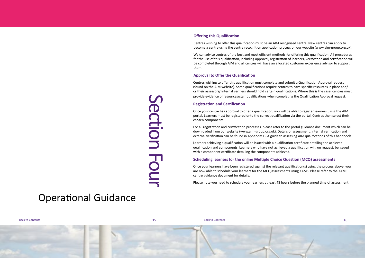# Operational Guidance

[Back to Contents](#page-2-0) [Back to Contents](#page-2-0)

### **Offering this Qualification**

Centres wishing to offer this qualification must be an AIM recognised centre. New centres can apply to become a centre using the centre recognition application process on our website (www.aim-group.org.uk).

We can advise centres of the best and most efficient methods for offering this qualification. All procedures for the use of this qualification, including approval, registration of learners, verification and certification will be completed through AIM and all centres will have an allocated customer experience advisor to support them.

### **Approval to Offer the Qualification**

provide evidence of resources/staff qualifications when completing the Qualification Approval request.<br>
Registration and Certification (of the a qualification, you will be able to register learners using the AlM<br>
portal. L Once your centre has approval to offer a qualification, you will be able to register learners using the AIM portal. Learners must be registered onto the correct qualification via the portal. Centres then select their chosen components.

Centres wishing to offer this qualification must complete and submit a Qualification Approval request (found on the AIM website). Some qualifications require centres to have specific resources in place and/ or their assessors/ internal verifiers should hold certain qualifications. Where this is the case, centres must provide evidence of resources/staff qualifications when completing the Qualification Approval request.

### **Registration and Certification**

For all registration and certification processes, please refer to the portal guidance document which can be downloaded from our website (www.aim-group.org.uk). Details of assessment, internal verification and external verification can be found in Appendix 1 - A guide to assessing AIM qualifications of this handbook.

Learners achieving a qualification will be issued with a qualification certificate detailing the achieved qualification and components. Learners who have not achieved a qualification will, on request, be issued with a component certificate detailing the components achieved.

### **Scheduling learners for the online Multiple Choice Question (MCQ) assessments**

Once your learners have been registered against the relevant qualification(s) using the process above, you are now able to schedule your learners for the MCQ assessments using XAMS. Please refer to the XAMS centre guidance document for details.

Please note you need to schedule your learners at least 48 hours before the planned time of assessment.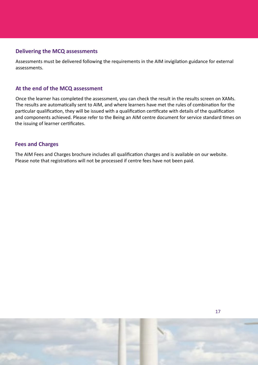### **Delivering the MCQ assessments**

Assessments must be delivered following the requirements in the AIM invigilation guidance for external assessments.

### **At the end of the MCQ assessment**

Once the learner has completed the assessment, you can check the result in the results screen on XAMs. The results are automatically sent to AIM, and where learners have met the rules of combination for the particular qualification, they will be issued with a qualification certificate with details of the qualification and components achieved. Please refer to the Being an AIM centre document for service standard times on the issuing of learner certificates.

### **Fees and Charges**

The AIM Fees and Charges brochure includes all qualification charges and is available on our website. Please note that registrations will not be processed if centre fees have not been paid.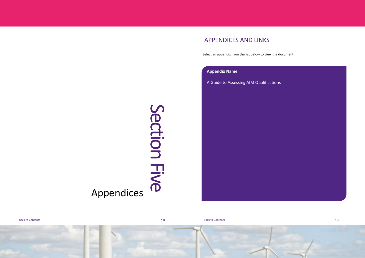# Section Five Section Five Appendices

example and the Contents and the Contents and the Contents of the Contents of the Contents of the Contents of the Contents of the Contents of the Contents of the Contents of the Contents of the Contents of the Contents of

### APPENDICES AND LINKS

Select an appendix from the list below to view the document.

### **[Appendix Name](http://www.aimawards.org.uk/resources/)**

<span id="page-11-0"></span>[A Guide to Assessing AIM Qualifications](http://www.aimawards.org.uk/resources/)